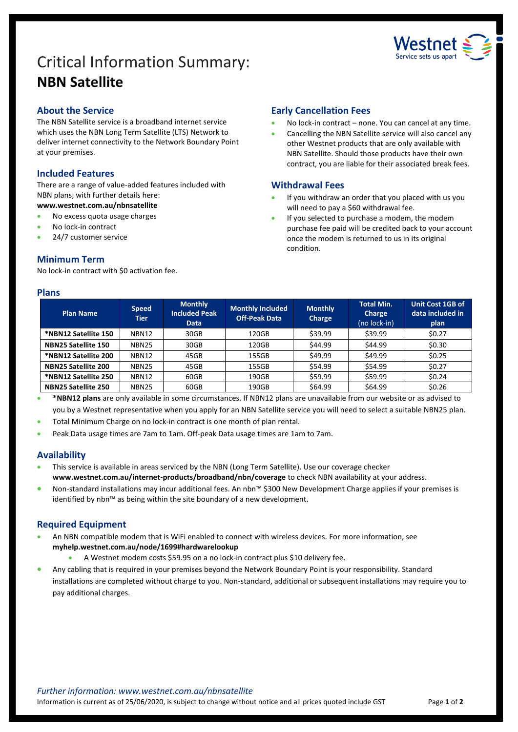# Critical Information Summary: **NBN Satellite**



# **About the Service**

The NBN Satellite service is a broadband internet service which uses the NBN Long Term Satellite (LTS) Network to deliver internet connectivity to the Network Boundary Point at your premises.

# **Included Features**

There are a range of value-added features included with NBN plans, with further details here: **www.westnet.com.au/nbnsatellite**

- No excess quota usage charges
- No lock-in contract
- 24/7 customer service

# **Minimum Term**

No lock-in contract with \$0 activation fee.

#### **Plans**

## **Early Cancellation Fees**

- No lock-in contract none. You can cancel at any time.
- Cancelling the NBN Satellite service will also cancel any other Westnet products that are only available with NBN Satellite. Should those products have their own contract, you are liable for their associated break fees.

# **Withdrawal Fees**

- If you withdraw an order that you placed with us you will need to pay a \$60 withdrawal fee.
- If you selected to purchase a modem, the modem purchase fee paid will be credited back to your account once the modem is returned to us in its original condition.

| <b>Plan Name</b>           | <b>Speed</b><br><b>Tier</b> | <b>Monthly</b><br><b>Included Peak</b><br><b>Data</b> | <b>Monthly Included</b><br><b>Off-Peak Data</b> | <b>Monthly</b><br>Charge | <b>Total Min.</b><br>Charge<br>(no lock-in) | <b>Unit Cost 1GB of</b><br>data included in<br>plan |
|----------------------------|-----------------------------|-------------------------------------------------------|-------------------------------------------------|--------------------------|---------------------------------------------|-----------------------------------------------------|
| *NBN12 Satellite 150       | NBN12                       | 30GB                                                  | 120GB                                           | \$39.99                  | \$39.99                                     | \$0.27                                              |
| NBN25 Satellite 150        | <b>NBN25</b>                | 30GB                                                  | 120GB                                           | \$44.99                  | \$44.99                                     | \$0.30                                              |
| *NBN12 Satellite 200       | NBN12                       | 45GB                                                  | 155GB                                           | \$49.99                  | \$49.99                                     | \$0.25                                              |
| <b>NBN25 Satellite 200</b> | <b>NBN25</b>                | 45GB                                                  | 155GB                                           | \$54.99                  | \$54.99                                     | \$0.27                                              |
| *NBN12 Satellite 250       | NBN12                       | 60GB                                                  | 190GB                                           | \$59.99                  | \$59.99                                     | \$0.24                                              |
| <b>NBN25 Satellite 250</b> | <b>NBN25</b>                | 60GB                                                  | 190GB                                           | \$64.99                  | \$64.99                                     | \$0.26                                              |

**\*NBN12 plans** are only available in some circumstances. If NBN12 plans are unavailable from our website or as advised to you by a Westnet representative when you apply for an NBN Satellite service you will need to select a suitable NBN25 plan.

- Total Minimum Charge on no lock-in contract is one month of plan rental.
- Peak Data usage times are 7am to 1am. Off-peak Data usage times are 1am to 7am.

# **Availability**

- This service is available in areas serviced by the NBN (Long Term Satellite). Use our [coverage checker](https://www.westnet.com.au/internet-products/broadband/nbn/coverage/) **www.westnet.com.au/internet-products/broadband/nbn/coverage** to check NBN availability at your address.
- Non-standard installations may incur additional fees. An nbn™ \$300 New Development Charge applies if your premises is identified by nbn™ as being within the site boundary of a new development.

# **Required Equipment**

- An NBN compatible modem that is WiFi enabled to connect with wireless devices. For more information, see **myhelp.westnet.com.au/node/1699#hardwarelookup**
	- A Westnet modem costs \$59.95 on a no lock-in contract plus \$10 delivery fee.
- Any cabling that is required in your premises beyond the Network Boundary Point is your responsibility. Standard installations are completed without charge to you. Non-standard, additional or subsequent installations may require you to pay additional charges.